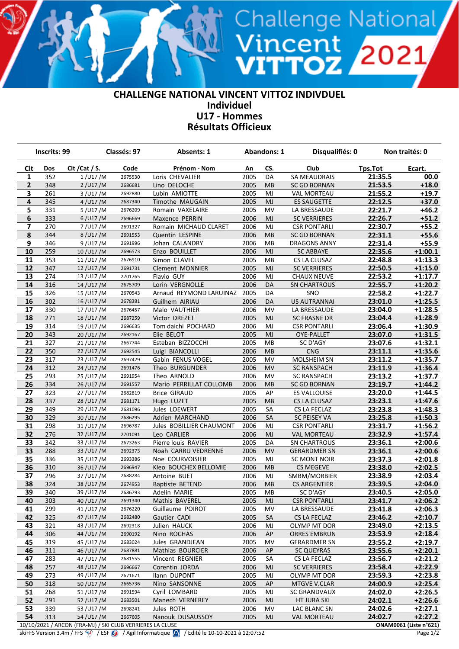## **CHALLENGE NATIONAL VINCENT VITTOZ INDIVDUEL Individuel U17 - Hommes Résultats Officieux**

Vincent<br>**VITTOZ 2**021

|                         | <b>Inscrits: 99</b> |                                                           | Classés: 97        | <b>Absents: 1</b>                    |              | <b>Abandons: 1</b> | Disqualifiés: 0           |                    | Non traités: 0         |  |
|-------------------------|---------------------|-----------------------------------------------------------|--------------------|--------------------------------------|--------------|--------------------|---------------------------|--------------------|------------------------|--|
| <b>Clt</b>              | Dos                 | Clt / Cat / S.                                            | Code               | Prénom - Nom                         | An           | CS.                | Club                      | Tps.Tot            | Ecart.                 |  |
| 1                       | 352                 | $1$ /U17 /M                                               | 2675530            | Loris CHEVALIER                      | 2005         | DA                 | <b>SA MEAUDRAIS</b>       | 21:35.5            | 00.0                   |  |
| $\mathbf{2}$            | 348                 | 2 / U17 / M                                               | 2686681            | Lino DELOCHE                         | 2005         | MВ                 | <b>SC GD BORNAN</b>       | 21:53.5            | $+18.0$                |  |
| 3                       | 261                 | 3/U17/M                                                   | 2692880            | Lubin AMIOTTE                        | 2005         | MJ                 | <b>VAL MORTEAU</b>        | 21:55.2            | $+19.7$                |  |
| 4                       | 345                 | 4 / U17 / M                                               | 2687340            | <b>Timothe MAUGAIN</b>               | 2005         | <b>MJ</b>          | <b>ES SAUGETTE</b>        | 22:12.5            | $+37.0$                |  |
| 5                       | 331                 | 5/U17/M                                                   | 2676209            | Romain VAXELAIRE                     | 2005         | MV                 | LA BRESSAUDE              | 22:21.7            | $+46.2$                |  |
| 6                       | 333                 | $6/$ U17 /M                                               | 2696669            | Maxence PERRIN                       | 2006         | MJ                 | <b>SC VERRIERES</b>       | 22:26.7            | $+51.2$                |  |
| $\overline{\mathbf{z}}$ | 270                 | 7/U17/M                                                   | 2691327            | Romain MICHAUD CLARET                | 2006         | MJ                 | <b>CSR PONTARLI</b>       | 22:30.7            | $+55.2$                |  |
| 8                       | 344                 | 8/U17/M                                                   | 2691553            | Quentin LESPINE                      | 2006         | MB                 | <b>SC GD BORNAN</b>       | 22:31.1            | $+55.6$                |  |
| 9                       | 346                 | 9/U17/M                                                   | 2691996            | Johan CALANDRY                       | 2006         | MB                 | <b>DRAGONS ANNY</b>       | 22:31.4            | $+55.9$                |  |
| 10                      | 259                 | 10/U17/M                                                  | 2696573            | Enzo BOUILLET                        | 2006         | MJ                 | <b>SC ABBAYE</b>          | 22:35.6            | $+1:00.1$              |  |
| 11                      | 353                 | 11/U17/M                                                  | 2676910            | Simon CLAVEL                         | 2005         | MВ                 | CS LA CLUSAZ              | 22:48.8            | $+1:13.3$              |  |
| 12                      | 347                 | 12/U17/M                                                  | 2691731            | Clement MONNIER                      | 2005         | MJ                 | <b>SC VERRIERES</b>       | 22:50.5            | $+1:15.0$              |  |
| 13                      | 274                 | 13/U17/M                                                  | 2701765            | Flavio GUY                           | 2006         | MJ                 | <b>CHAUX NEUVE</b>        | 22:53.2            | $+1:17.7$              |  |
| 14                      | 316                 | 14/U17/M                                                  | 2675709            | Lorin VERGNOLLE                      | 2006         | DA                 | <b>SN CHARTROUS</b>       | 22:55.7            | $+1:20.2$              |  |
| 15                      | 326                 | 15/U17/M                                                  | 2670543            | Arnaud REYMOND LARUINAZ              | 2005         | DA                 | SNO                       | 22:58.2            | $+1:22.7$              |  |
| 16                      | 302                 | 16/U17/M                                                  | 2678381            | Guilhem AIRIAU                       | 2006         | DA                 | <b>US AUTRANNAI</b>       | 23:01.0            | $+1:25.5$              |  |
| 17                      | 330                 | 17/U17/M                                                  | 2676457            | Malo VAUTHIER                        | 2006         | MV                 | LA BRESSAUDE              | 23:04.0            | $+1:28.5$              |  |
| 18                      | 271                 | 18/U17/M                                                  | 2687259            | Victor DREZET                        | 2005         | <b>MJ</b>          | <b>SC FRASNE DR</b>       | 23:04.4            | $+1:28.9$              |  |
| 19                      | 314                 | 19/U17/M                                                  | 2696635            | Tom daichi POCHARD                   | 2006         | MJ                 | <b>CSR PONTARLI</b>       | 23:06.4            | $+1:30.9$              |  |
| 20                      | 343<br>327          | 20/U17/M                                                  | 2692167            | Elie BELOT                           | 2005<br>2005 | MJ                 | OYE-PALLET                | 23:07.0            | $+1:31.5$              |  |
| 21                      |                     | 21/U17/M                                                  | 2667744            | Esteban BIZZOCCHI                    | 2006         | MВ                 | SC D'AGY                  | 23:07.6            | $+1:32.1$<br>$+1:35.6$ |  |
| 22<br>23                | 350<br>317          | 22/U17/M<br>23/U17/M                                      | 2692545<br>2697429 | Luigi BIANCOLLI<br>Gabin FENUS VOGEL | 2005         | MB<br>MV           | <b>CNG</b><br>MOLSHEIM SN | 23:11.1<br>23:11.2 | $+1:35.7$              |  |
| 24                      | 312                 | 24/U17/M                                                  | 2691476            | Theo BURGUNDER                       | 2006         | <b>MV</b>          | <b>SC RANSPACH</b>        | 23:11.9            | $+1:36.4$              |  |
| 25                      | 293                 | 25/U17/M                                                  | 2691954            | Theo ARNOLD                          | 2006         | MV                 | <b>SC RANSPACH</b>        | 23:13.2            | $+1:37.7$              |  |
| 26                      | 334                 | 26/U17/M                                                  | 2691557            | Mario PERRILLAT COLLOMB              | 2006         | MB                 | <b>SC GD BORNAN</b>       | 23:19.7            | $+1:44.2$              |  |
| 27                      | 323                 | 27/U17/M                                                  | 2682819            | <b>Brice GIRAUD</b>                  | 2005         | AP                 | <b>ES VALLOUISE</b>       | 23:20.0            | $+1:44.5$              |  |
| 28                      | 337                 | 28/U17/M                                                  | 2681171            | Hugo LUZET                           | 2005         | MB                 | CS LA CLUSAZ              | 23:23.1            | $+1:47.6$              |  |
| 29                      | 349                 | 29/U17/M                                                  | 2681096            | Jules LOEWERT                        | 2005         | SA                 | CS LA FECLAZ              | 23:23.8            | $+1:48.3$              |  |
| 30                      | 329                 | 30/U17/M                                                  | 2686295            | Adrien MARCHAND                      | 2006         | <b>SA</b>          | <b>SC PEISEY VA</b>       | 23:25.8            | $+1:50.3$              |  |
| 31                      | 298                 | 31/U17/M                                                  | 2696787            | Jules BOBILLIER CHAUMONT             | 2006         | MJ                 | <b>CSR PONTARLI</b>       | 23:31.7            | $+1:56.2$              |  |
| 32                      | 276                 | 32/U17/M                                                  | 2701091            | Leo CARLIER                          | 2006         | <b>MJ</b>          | <b>VAL MORTEAU</b>        | 23:32.9            | $+1:57.4$              |  |
| 33                      | 342                 | 33/U17/M                                                  | 2673263            | Pierre louis RAVIER                  | 2005         | DA                 | <b>SN CHARTROUS</b>       | 23:36.1            | $+2:00.6$              |  |
| 33                      | 288                 | 33/U17/M                                                  | 2692373            | Noah CARRU VEDRENNE                  | 2006         | <b>MV</b>          | <b>GERARDMER SN</b>       | 23:36.1            | $+2:00.6$              |  |
| 35                      | 336                 | 35/U17/M                                                  | 2693386            | Noe COURVOISIER                      | 2005         | MJ                 | SC MONT NOIR              | 23:37.3            | $+2:01.8$              |  |
| 36                      | 310                 | 36/U17/M                                                  | 2696947            | Kleo BOUCHEX BELLOMIE                | 2006         | MB                 | <b>CS MEGEVE</b>          | 23:38.0            | $+2:02.5$              |  |
| 37                      | 296                 | 37/U17/M                                                  | 2688284            | Antoine BUET                         | 2006         | MJ                 | SMBM/MORBIER              | 23:38.9            | $+2:03.4$              |  |
| 38                      | 324                 | 38/U17/M                                                  | 2674953            | Baptiste BETEND                      | 2006         | MB                 | <b>CS ARGENTIER</b>       | 23:39.5            | $+2:04.0$              |  |
| 39                      | 340                 | 39/U17/M                                                  | 2686793            | Adelin MARIE                         | 2005         | MB                 | SC D'AGY                  | 23:40.5            | $+2:05.0$              |  |
| 40                      | 303                 | 40/U17/M                                                  | 2691340            | Mathis BAVEREL                       | 2005         | MJ.                | <b>CSR PONTARLI</b>       | 23:41.7            | $+2:06.2$              |  |
| 41                      | 299                 | 41/U17/M                                                  | 2676220            | Guillaume POIROT                     | 2005         | MV                 | LA BRESSAUDE              | 23:41.8            | $+2:06.3$              |  |
| 42                      | 325                 | 42/U17/M                                                  | 2682480            | Gautier CADI                         | 2005         | <b>SA</b>          | CS LA FECLAZ              | 23:46.2            | $+2:10.7$              |  |
| 43                      | 321                 | 43/U17/M                                                  | 2692318            | Julien HAUCK                         | 2006         | MJ                 | OLYMP MT DOR              | 23:49.0            | $+2:13.5$              |  |
| 44                      | 306                 | 44/U17/M                                                  | 2690192            | Nino ROCHAS                          | 2006         | AP                 | <b>ORRES EMBRUN</b>       | 23:53.9            | $+2:18.4$              |  |
| 45                      | 319                 | 45/U17/M                                                  | 2683024            | Jules GRANDJEAN                      | 2005         | MV                 | <b>GERARDMER SN</b>       | 23:55.2            | $+2:19.7$              |  |
| 46                      | 311                 | 46/U17/M                                                  | 2687881            | Mathias BOURCIER                     | 2006         | AP                 | <b>SC QUEYRAS</b>         | 23:55.6            | $+2:20.1$              |  |
| 47                      | 283                 | 47/U17/M                                                  | 2681555            | Vincent REGNIER                      | 2005         | SА                 | CS LA FECLAZ              | 23:56.7            | $+2:21.2$              |  |
| 48                      | 257                 | 48/U17/M                                                  | 2696667            | Corentin JORDA                       | 2006         | MJ                 | <b>SC VERRIERES</b>       | 23:58.4            | $+2:22.9$              |  |
| 49                      | 273                 | 49/U17/M                                                  | 2671671            | Ilann DUPONT                         | 2005         | MJ                 | OLYMP MT DOR              | 23:59.3            | $+2:23.8$              |  |
| 50                      | 318                 | 50/U17/M                                                  | 2665736            | Nino SANSONNE                        | 2005         | AP                 | MTGVE V.CLAR              | 24:00.9            | $+2:25.4$              |  |
| 51                      | 268                 | 51/U17/M                                                  | 2691594            | Cyril LOMBARD                        | 2005         | MJ                 | <b>SC GRANDVAUX</b>       | 24:02.0            | $+2:26.5$              |  |
| 52                      | 291                 | 52/U17/M                                                  | 2683501            | Manech VERNEREY                      | 2006         | MJ                 | <b>HT JURA SKI</b>        | 24:02.1            | $+2:26.6$              |  |
| 53                      | 339                 | 53/U17/M                                                  | 2698241            | Jules ROTH                           | 2006         | MV                 | LAC BLANC SN              | 24:02.6            | $+2:27.1$              |  |
| 54                      | 313                 | 54/U17/M                                                  | 2667605            | Nanouk DUSAUSSOY                     | 2005         | MJ                 | <b>VAL MORTEAU</b>        | 24:02.7            | $+2:27.2$              |  |
|                         |                     | 10/10/2021 / ARCON (FRA-MJ) / SKI CLUB VERRIERES LA CLUSE |                    |                                      |              |                    |                           |                    | ONAM0061 (Liste n°621) |  |